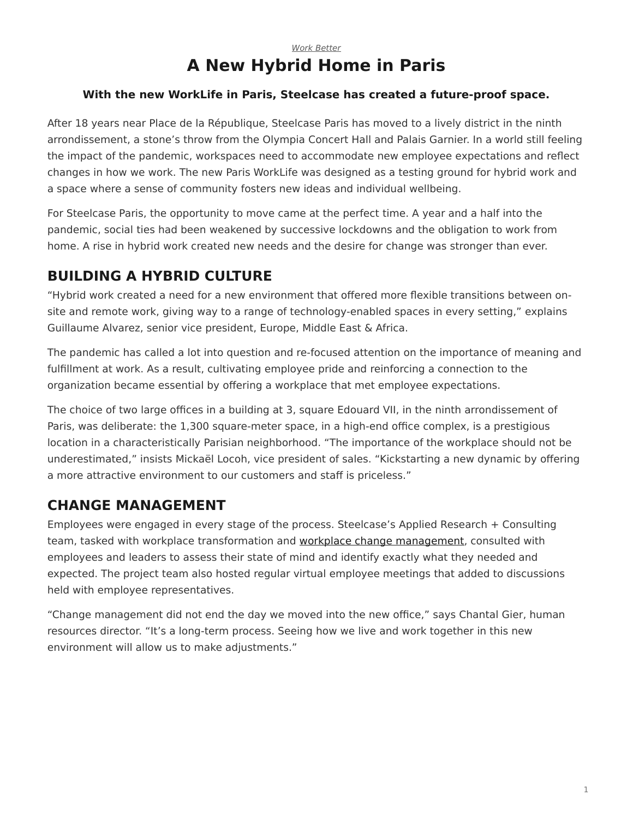#### *[Work Better](https://www.steelcase.com/research/topics/work-better/)* **A New Hybrid Home in Paris**

#### <span id="page-0-0"></span>**With the new WorkLife in Paris, Steelcase has created a future-proof space.**

After 18 years near Place de la République, Steelcase Paris has moved to a lively district in the ninth arrondissement, a stone's throw from the Olympia Concert Hall and Palais Garnier. In a world still feeling the impact of the pandemic, workspaces need to accommodate new employee expectations and reflect changes in how we work. The new Paris WorkLife was designed as a testing ground for hybrid work and a space where a sense of community fosters new ideas and individual wellbeing.

For Steelcase Paris, the opportunity to move came at the perfect time. A year and a half into the pandemic, social ties had been weakened by successive lockdowns and the obligation to work from home. A rise in hybrid work created new needs and the desire for change was stronger than ever.

### **BUILDING A HYBRID CULTURE**

"Hybrid work created a need for a new environment that offered more flexible transitions between onsite and remote work, giving way to a range of technology-enabled spaces in every setting," explains Guillaume Alvarez, senior vice president, Europe, Middle East & Africa.

The pandemic has called a lot into question and re-focused attention on the importance of meaning and fulfillment at work. As a result, cultivating employee pride and reinforcing a connection to the organization became essential by offering a workplace that met employee expectations.

The choice of two large offices in a building at 3, square Edouard VII, in the ninth arrondissement of Paris, was deliberate: the 1,300 square-meter space, in a high-end office complex, is a prestigious location in a characteristically Parisian neighborhood. "The importance of the workplace should not be underestimated," insists Mickaël Locoh, vice president of sales. "Kickstarting a new dynamic by offering a more attractive environment to our customers and staff is priceless."

## **CHANGE MANAGEMENT**

Employees were engaged in every stage of the process. Steelcase's Applied Research + Consulting team, tasked with workplace transformation and [workplace change management](https://www.steelcase.com/research/topics/change-management/), consulted with employees and leaders to assess their state of mind and identify exactly what they needed and expected. The project team also hosted regular virtual employee meetings that added to discussions held with employee representatives.

"Change management did not end the day we moved into the new office," says Chantal Gier, human resources director. "It's a long-term process. Seeing how we live and work together in this new environment will allow us to make adjustments."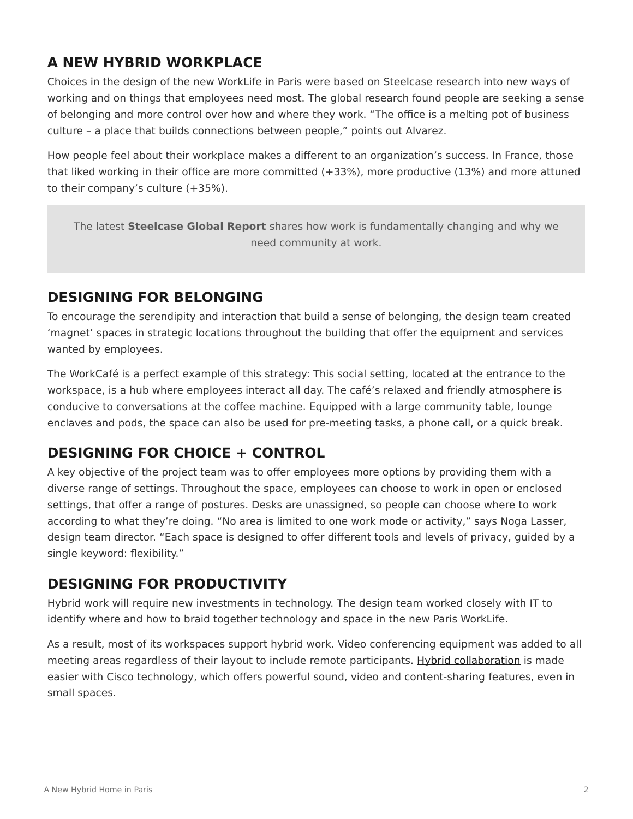## **A NEW HYBRID WORKPLACE**

Choices in the design of the new WorkLife in Paris were based on Steelcase research into new ways of working and on things that employees need most. The global research found people are seeking a sense of belonging and more control over how and where they work. "The office is a melting pot of business culture – a place that builds connections between people," points out Alvarez.

How people feel about their workplace makes a different to an organization's success. In France, those that liked working in their office are more committed (+33%), more productive (13%) and more attuned to their company's culture (+35%).

The latest **Steelcase Global Report** shares how work is fundamentally changing and why we need community at work.

# **DESIGNING FOR BELONGING**

To encourage the serendipity and interaction that build a sense of belonging, the design team created 'magnet' spaces in strategic locations throughout the building that offer the equipment and services wanted by employees.

The WorkCafé is a perfect example of this strategy: This social setting, located at the entrance to the workspace, is a hub where employees interact all day. The café's relaxed and friendly atmosphere is conducive to conversations at the coffee machine. Equipped with a large community table, lounge enclaves and pods, the space can also be used for pre-meeting tasks, a phone call, or a quick break.

# **DESIGNING FOR CHOICE + CONTROL**

A key objective of the project team was to offer employees more options by providing them with a diverse range of settings. Throughout the space, employees can choose to work in open or enclosed settings, that offer a range of postures. Desks are unassigned, so people can choose where to work according to what they're doing. "No area is limited to one work mode or activity," says Noga Lasser, design team director. "Each space is designed to offer different tools and levels of privacy, guided by a single keyword: flexibility."

## **DESIGNING FOR PRODUCTIVITY**

Hybrid work will require new investments in technology. The design team worked closely with IT to identify where and how to braid together technology and space in the new Paris WorkLife.

As a result, most of its workspaces support hybrid work. Video conferencing equipment was added to all meeting areas regardless of their layout to include remote participants. [Hybrid collaboration](https://www.steelcase.com/spaces/hybrid-collection/) is made easier with Cisco technology, which offers powerful sound, video and content-sharing features, even in small spaces.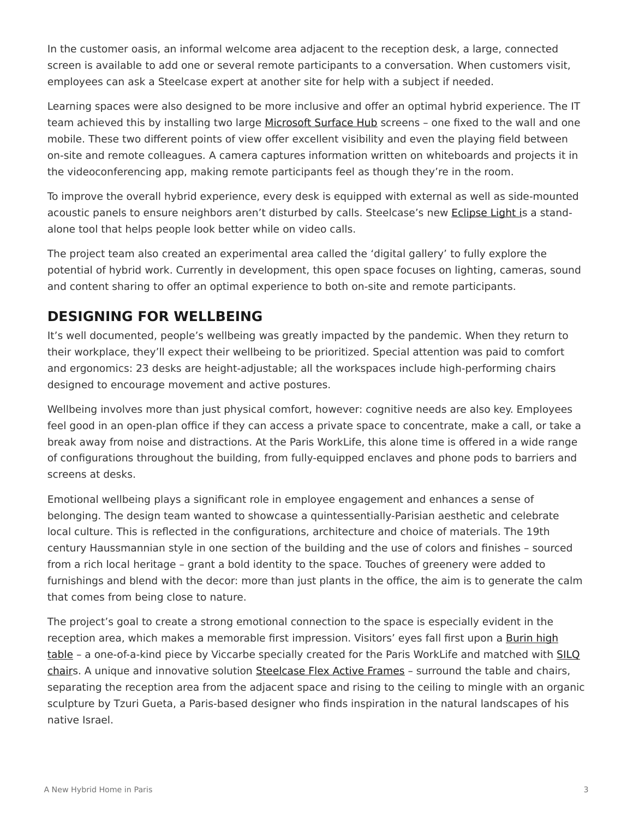In the customer oasis, an informal welcome area adjacent to the reception desk, a large, connected screen is available to add one or several remote participants to a conversation. When customers visit, employees can ask a Steelcase expert at another site for help with a subject if needed.

Learning spaces were also designed to be more inclusive and offer an optimal hybrid experience. The IT team achieved this by installing two large [Microsoft Surface Hub](https://www.steelcase.com/products/steelcase-roam) screens - one fixed to the wall and one mobile. These two different points of view offer excellent visibility and even the playing field between on-site and remote colleagues. A camera captures information written on whiteboards and projects it in the videoconferencing app, making remote participants feel as though they're in the room.

To improve the overall hybrid experience, every desk is equipped with external as well as side-mounted acoustic panels to ensure neighbors aren't disturbed by calls. Steelcase's new [Eclipse Light i](https://www.steelcase.com/products/lighting/steelcase-eclipse-light/)s a standalone tool that helps people look better while on video calls.

The project team also created an experimental area called the 'digital gallery' to fully explore the potential of hybrid work. Currently in development, this open space focuses on lighting, cameras, sound and content sharing to offer an optimal experience to both on-site and remote participants.

### **DESIGNING FOR WELLBEING**

It's well documented, people's wellbeing was greatly impacted by the pandemic. When they return to their workplace, they'll expect their wellbeing to be prioritized. Special attention was paid to comfort and ergonomics: 23 desks are height-adjustable; all the workspaces include high-performing chairs designed to encourage movement and active postures.

Wellbeing involves more than just physical comfort, however: cognitive needs are also key. Employees feel good in an open-plan office if they can access a private space to concentrate, make a call, or take a break away from noise and distractions. At the Paris WorkLife, this alone time is offered in a wide range of configurations throughout the building, from fully-equipped enclaves and phone pods to barriers and screens at desks.

Emotional wellbeing plays a significant role in employee engagement and enhances a sense of belonging. The design team wanted to showcase a quintessentially-Parisian aesthetic and celebrate local culture. This is reflected in the configurations, architecture and choice of materials. The 19th century Haussmannian style in one section of the building and the use of colors and finishes – sourced from a rich local heritage – grant a bold identity to the space. Touches of greenery were added to furnishings and blend with the decor: more than just plants in the office, the aim is to generate the calm that comes from being close to nature.

The project's goal to create a strong emotional connection to the space is especially evident in the reception area, which makes a memorable first impression. Visitors' eyes fall first upon a [Burin high](https://www.steelcase.com/products/occasional-tables/burin/) [table](https://www.steelcase.com/products/occasional-tables/burin/) - a one-of-a-kind piece by Viccarbe specially created for the Paris WorkLife and matched with [SILQ](https://www.steelcase.com/products/conference-chairs/silq/) [chair](https://www.steelcase.com/products/conference-chairs/silq/)s. A unique and innovative solution [Steelcase Flex Active Frames](https://www.steelcase.com/products/bookcases-cabinets/steelcase-flex-active-frames/) – surround the table and chairs, separating the reception area from the adjacent space and rising to the ceiling to mingle with an organic sculpture by Tzuri Gueta, a Paris-based designer who finds inspiration in the natural landscapes of his native Israel.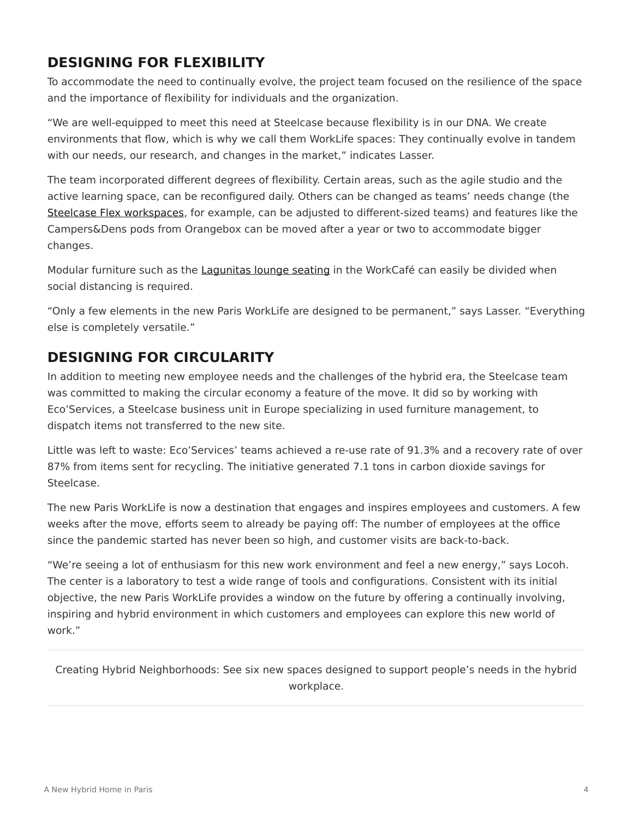## **DESIGNING FOR FLEXIBILITY**

To accommodate the need to continually evolve, the project team focused on the resilience of the space and the importance of flexibility for individuals and the organization.

"We are well-equipped to meet this need at Steelcase because flexibility is in our DNA. We create environments that flow, which is why we call them WorkLife spaces: They continually evolve in tandem with our needs, our research, and changes in the market," indicates Lasser.

The team incorporated different degrees of flexibility. Certain areas, such as the agile studio and the active learning space, can be reconfigured daily. Others can be changed as teams' needs change (the [Steelcase Flex workspaces](https://www.steelcase.com/products/desk-systems/steelcase-flex-collection/), for example, can be adjusted to different-sized teams) and features like the Campers&Dens pods from Orangebox can be moved after a year or two to accommodate bigger changes.

Modular furniture such as the [Lagunitas lounge seating](https://www.steelcase.com/products/lounge-chairs/lagunitas-lounge-seating/) in the WorkCafé can easily be divided when social distancing is required.

"Only a few elements in the new Paris WorkLife are designed to be permanent," says Lasser. "Everything else is completely versatile."

# **DESIGNING FOR CIRCULARITY**

In addition to meeting new employee needs and the challenges of the hybrid era, the Steelcase team was committed to making the circular economy a feature of the move. It did so by working with Eco'Services, a Steelcase business unit in Europe specializing in used furniture management, to dispatch items not transferred to the new site.

Little was left to waste: Eco'Services' teams achieved a re-use rate of 91.3% and a recovery rate of over 87% from items sent for recycling. The initiative generated 7.1 tons in carbon dioxide savings for Steelcase.

The new Paris WorkLife is now a destination that engages and inspires employees and customers. A few weeks after the move, efforts seem to already be paying off: The number of employees at the office since the pandemic started has never been so high, and customer visits are back-to-back.

"We're seeing a lot of enthusiasm for this new work environment and feel a new energy," says Locoh. The center is a laboratory to test a wide range of tools and configurations. Consistent with its initial objective, the new Paris WorkLife provides a window on the future by offering a continually involving, inspiring and hybrid environment in which customers and employees can explore this new world of work."

Creating Hybrid Neighborhoods: See six new spaces designed to support people's needs in the hybrid workplace.